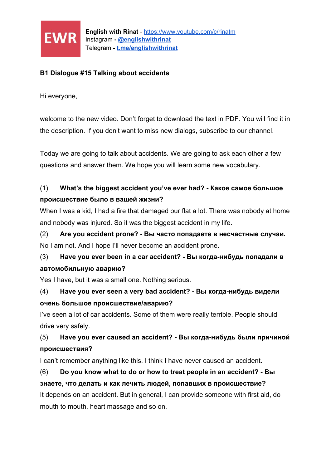

#### **B1 Dialogue #15 Talking about accidents**

Hi everyone,

welcome to the new video. Don't forget to download the text in PDF. You will find it in the description. If you don't want to miss new dialogs, subscribe to our channel.

Today we are going to talk about accidents. We are going to ask each other a few questions and answer them. We hope you will learn some new vocabulary.

#### (1) **What's the biggest accident you've ever had? - Какое самое большое происшествие было в вашей жизни?**

When I was a kid, I had a fire that damaged our flat a lot. There was nobody at home and nobody was injured. So it was the biggest accident in my life.

## (2) **Are you accident prone? - Вы часто попадаете в несчастные случаи.** No I am not. And I hope I'll never become an accident prone.

## (3) **Have you ever been in a car accident? - Вы когда-нибудь попадали в автомобильную аварию?**

Yes I have, but it was a small one. Nothing serious.

## (4) **Have you ever seen a very bad accident? - Вы когда-нибудь видели очень большое происшествие/аварию?**

I've seen a lot of car accidents. Some of them were really terrible. People should drive very safely.

## (5) **Have you ever caused an accident? - Вы когда-нибудь были причиной происшествия?**

I can't remember anything like this. I think I have never caused an accident.

# (6) **Do you know what to do or how to treat people in an accident? - Вы знаете, что делать и как лечить людей, попавших в происшествие?** It depends on an accident. But in general, I can provide someone with first aid, do mouth to mouth, heart massage and so on.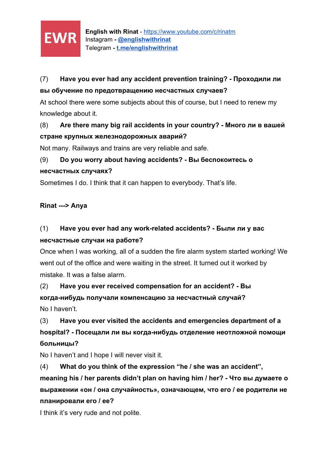

## (7) **Have you ever had any accident prevention training? - Проходили ли вы обучение по предотвращению несчастных случаев?**

At school there were some subjects about this of course, but I need to renew my knowledge about it.

#### (8) **Are there many big rail accidents in your country? - Много ли в вашей стране крупных железнодорожных аварий?**

Not many. Railways and trains are very reliable and safe.

## (9) **Do you worry about having accidents? - Вы беспокоитесь о несчастных случаях?**

Sometimes I do. I think that it can happen to everybody. That's life.

#### **Rinat ---> Anya**

# (1) **Have you ever had any work-related accidents? - Были ли у вас несчастные случаи на работе?**

Once when I was working, all of a sudden the fire alarm system started working! We went out of the office and were waiting in the street. It turned out it worked by mistake. It was a false alarm.

(2) **Have you ever received compensation for an accident? - Вы когда-нибудь получали компенсацию за несчастный случай?** No I haven't.

(3) **Have you ever visited the accidents and emergencies department of a hospital? - Посещали ли вы когда-нибудь отделение неотложной помощи больницы?**

No I haven't and I hope I will never visit it.

(4) **What do you think of the expression "he / she was an accident",**

**meaning his / her parents didn't plan on having him / her? - Что вы думаете о выражении «он / она случайность», означающем, что его / ее родители не планировали его / ее?**

I think it's very rude and not polite.